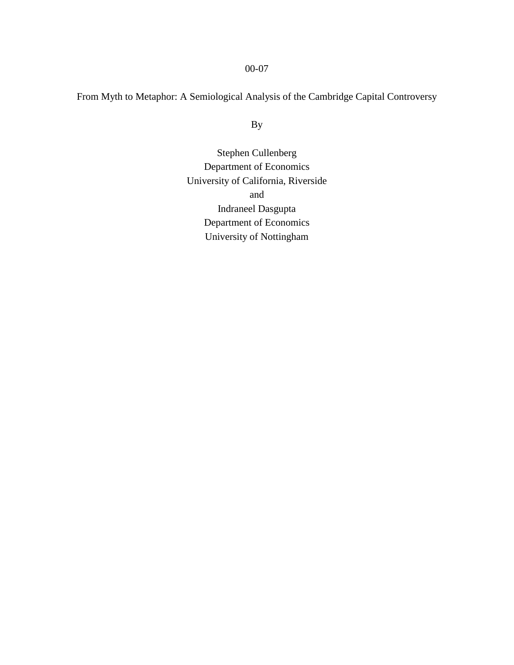00-07

From Myth to Metaphor: A Semiological Analysis of the Cambridge Capital Controversy

By

Stephen Cullenberg Department of Economics University of California, Riverside and Indraneel Dasgupta Department of Economics University of Nottingham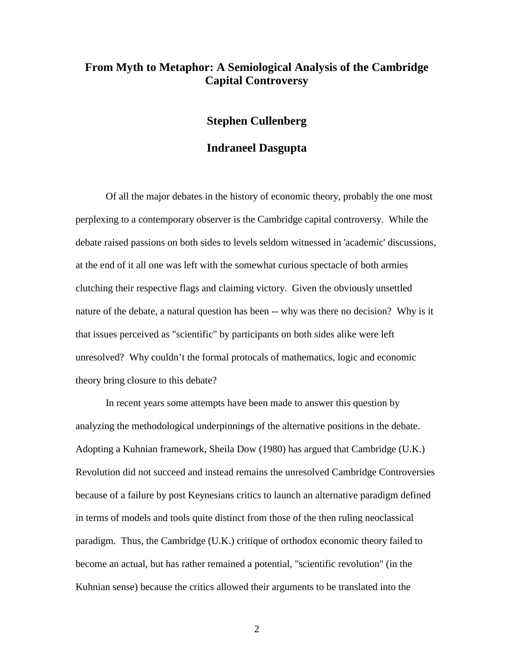# **From Myth to Metaphor: A Semiological Analysis of the Cambridge Capital Controversy**

# **Stephen Cullenberg**

# **Indraneel Dasgupta**

Of all the major debates in the history of economic theory, probably the one most perplexing to a contemporary observer is the Cambridge capital controversy. While the debate raised passions on both sides to levels seldom witnessed in 'academic' discussions, at the end of it all one was left with the somewhat curious spectacle of both armies clutching their respective flags and claiming victory. Given the obviously unsettled nature of the debate, a natural question has been -- why was there no decision? Why is it that issues perceived as "scientific" by participants on both sides alike were left unresolved? Why couldn't the formal protocals of mathematics, logic and economic theory bring closure to this debate?

In recent years some attempts have been made to answer this question by analyzing the methodological underpinnings of the alternative positions in the debate. Adopting a Kuhnian framework, Sheila Dow (1980) has argued that Cambridge (U.K.) Revolution did not succeed and instead remains the unresolved Cambridge Controversies because of a failure by post Keynesians critics to launch an alternative paradigm defined in terms of models and tools quite distinct from those of the then ruling neoclassical paradigm. Thus, the Cambridge (U.K.) critique of orthodox economic theory failed to become an actual, but has rather remained a potential, "scientific revolution" (in the Kuhnian sense) because the critics allowed their arguments to be translated into the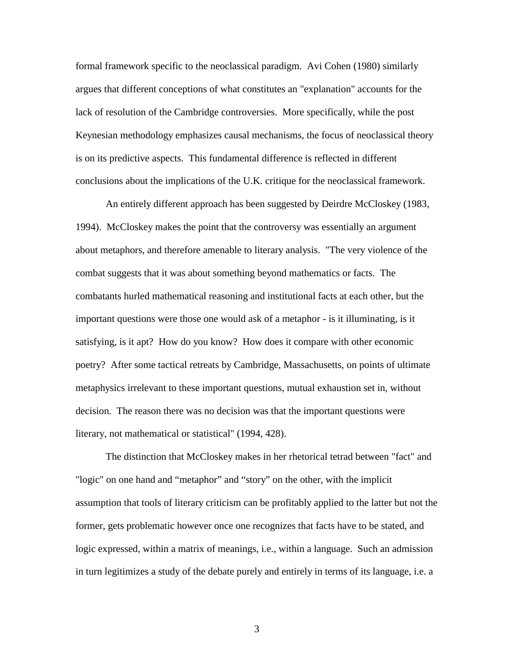formal framework specific to the neoclassical paradigm. Avi Cohen (1980) similarly argues that different conceptions of what constitutes an "explanation" accounts for the lack of resolution of the Cambridge controversies. More specifically, while the post Keynesian methodology emphasizes causal mechanisms, the focus of neoclassical theory is on its predictive aspects. This fundamental difference is reflected in different conclusions about the implications of the U.K. critique for the neoclassical framework.

An entirely different approach has been suggested by Deirdre McCloskey (1983, 1994). McCloskey makes the point that the controversy was essentially an argument about metaphors, and therefore amenable to literary analysis. "The very violence of the combat suggests that it was about something beyond mathematics or facts. The combatants hurled mathematical reasoning and institutional facts at each other, but the important questions were those one would ask of a metaphor - is it illuminating, is it satisfying, is it apt? How do you know? How does it compare with other economic poetry? After some tactical retreats by Cambridge, Massachusetts, on points of ultimate metaphysics irrelevant to these important questions, mutual exhaustion set in, without decision. The reason there was no decision was that the important questions were literary, not mathematical or statistical" (1994, 428).

The distinction that McCloskey makes in her rhetorical tetrad between "fact" and "logic" on one hand and "metaphor" and "story" on the other, with the implicit assumption that tools of literary criticism can be profitably applied to the latter but not the former, gets problematic however once one recognizes that facts have to be stated, and logic expressed, within a matrix of meanings, i.e., within a language. Such an admission in turn legitimizes a study of the debate purely and entirely in terms of its language, i.e. a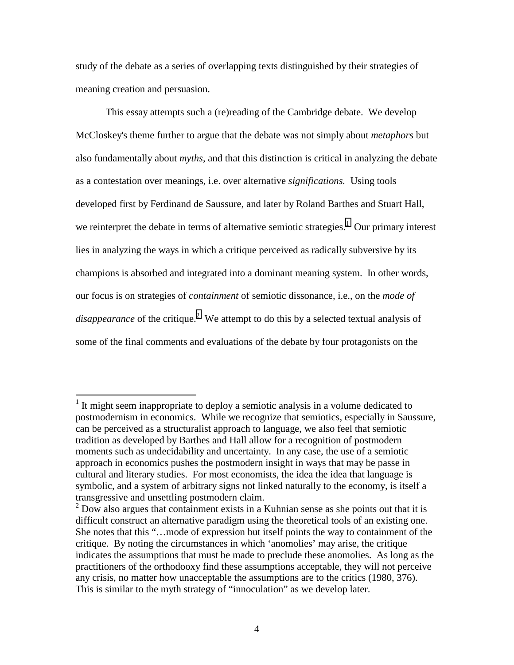study of the debate as a series of overlapping texts distinguished by their strategies of meaning creation and persuasion.

This essay attempts such a (re)reading of the Cambridge debate. We develop McCloskey's theme further to argue that the debate was not simply about *metaphors* but also fundamentally about *myths*, and that this distinction is critical in analyzing the debate as a contestation over meanings, i.e. over alternative *significations.* Using tools developed first by Ferdinand de Saussure, and later by Roland Barthes and Stuart Hall, we reinterpret the debate in terms of alternative semiotic strategies.<sup>1</sup> Our primary interest lies in analyzing the ways in which a critique perceived as radically subversive by its champions is absorbed and integrated into a dominant meaning system. In other words, our focus is on strategies of *containment* of semiotic dissonance, i.e., on the *mode of* disappearance of the critique.<sup>2</sup> We attempt to do this by a selected textual analysis of some of the final comments and evaluations of the debate by four protagonists on the

 $<sup>1</sup>$  It might seem inappropriate to deploy a semiotic analysis in a volume dedicated to</sup> postmodernism in economics. While we recognize that semiotics, especially in Saussure, can be perceived as a structuralist approach to language, we also feel that semiotic tradition as developed by Barthes and Hall allow for a recognition of postmodern moments such as undecidability and uncertainty. In any case, the use of a semiotic approach in economics pushes the postmodern insight in ways that may be passe in cultural and literary studies. For most economists, the idea the idea that language is symbolic, and a system of arbitrary signs not linked naturally to the economy, is itself a transgressive and unsettling postmodern claim.

 $2^{2}$  Dow also argues that containment exists in a Kuhnian sense as she points out that it is difficult construct an alternative paradigm using the theoretical tools of an existing one. She notes that this "…mode of expression but itself points the way to containment of the critique. By noting the circumstances in which 'anomolies' may arise, the critique indicates the assumptions that must be made to preclude these anomolies. As long as the practitioners of the orthodooxy find these assumptions acceptable, they will not perceive any crisis, no matter how unacceptable the assumptions are to the critics (1980, 376). This is similar to the myth strategy of "innoculation" as we develop later.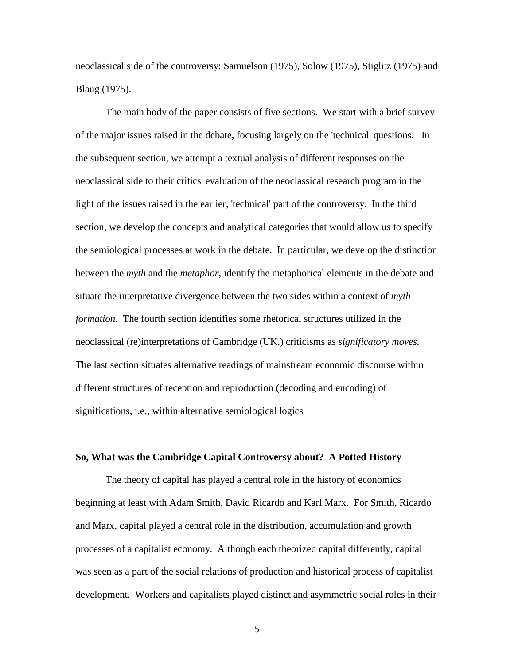neoclassical side of the controversy: Samuelson (1975), Solow (1975), Stiglitz (1975) and Blaug (1975).

The main body of the paper consists of five sections. We start with a brief survey of the major issues raised in the debate, focusing largely on the 'technical' questions. In the subsequent section, we attempt a textual analysis of different responses on the neoclassical side to their critics' evaluation of the neoclassical research program in the light of the issues raised in the earlier, 'technical' part of the controversy. In the third section, we develop the concepts and analytical categories that would allow us to specify the semiological processes at work in the debate. In particular, we develop the distinction between the *myth* and the *metaphor*, identify the metaphorical elements in the debate and situate the interpretative divergence between the two sides within a context of *myth formation.* The fourth section identifies some rhetorical structures utilized in the neoclassical (re)interpretations of Cambridge (UK.) criticisms as *significatory moves.* The last section situates alternative readings of mainstream economic discourse within different structures of reception and reproduction (decoding and encoding) of significations, i.e., within alternative semiological logics

# **So, What was the Cambridge Capital Controversy about? A Potted History**

The theory of capital has played a central role in the history of economics beginning at least with Adam Smith, David Ricardo and Karl Marx. For Smith, Ricardo and Marx, capital played a central role in the distribution, accumulation and growth processes of a capitalist economy. Although each theorized capital differently, capital was seen as a part of the social relations of production and historical process of capitalist development. Workers and capitalists played distinct and asymmetric social roles in their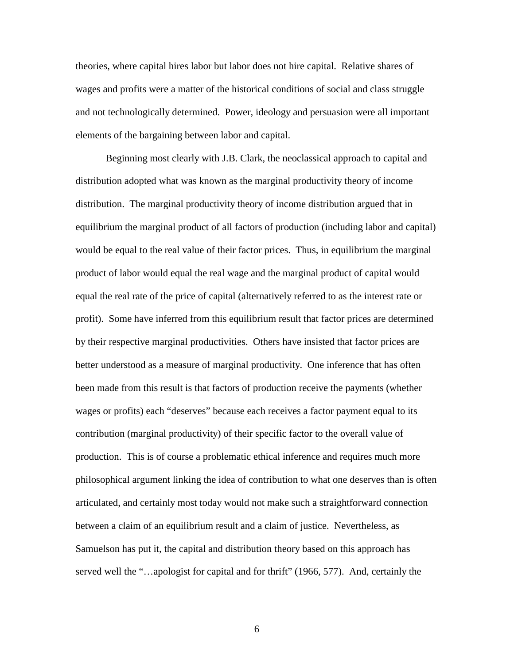theories, where capital hires labor but labor does not hire capital. Relative shares of wages and profits were a matter of the historical conditions of social and class struggle and not technologically determined. Power, ideology and persuasion were all important elements of the bargaining between labor and capital.

Beginning most clearly with J.B. Clark, the neoclassical approach to capital and distribution adopted what was known as the marginal productivity theory of income distribution. The marginal productivity theory of income distribution argued that in equilibrium the marginal product of all factors of production (including labor and capital) would be equal to the real value of their factor prices. Thus, in equilibrium the marginal product of labor would equal the real wage and the marginal product of capital would equal the real rate of the price of capital (alternatively referred to as the interest rate or profit). Some have inferred from this equilibrium result that factor prices are determined by their respective marginal productivities. Others have insisted that factor prices are better understood as a measure of marginal productivity. One inference that has often been made from this result is that factors of production receive the payments (whether wages or profits) each "deserves" because each receives a factor payment equal to its contribution (marginal productivity) of their specific factor to the overall value of production. This is of course a problematic ethical inference and requires much more philosophical argument linking the idea of contribution to what one deserves than is often articulated, and certainly most today would not make such a straightforward connection between a claim of an equilibrium result and a claim of justice. Nevertheless, as Samuelson has put it, the capital and distribution theory based on this approach has served well the "...apologist for capital and for thrift" (1966, 577). And, certainly the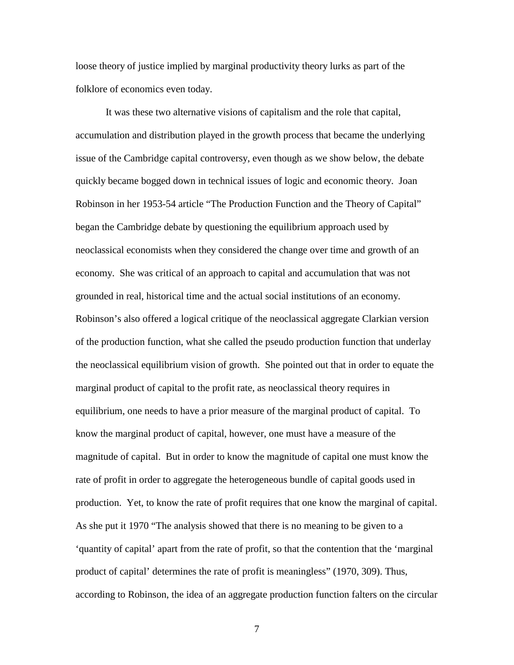loose theory of justice implied by marginal productivity theory lurks as part of the folklore of economics even today.

It was these two alternative visions of capitalism and the role that capital, accumulation and distribution played in the growth process that became the underlying issue of the Cambridge capital controversy, even though as we show below, the debate quickly became bogged down in technical issues of logic and economic theory. Joan Robinson in her 1953-54 article "The Production Function and the Theory of Capital" began the Cambridge debate by questioning the equilibrium approach used by neoclassical economists when they considered the change over time and growth of an economy. She was critical of an approach to capital and accumulation that was not grounded in real, historical time and the actual social institutions of an economy. Robinson's also offered a logical critique of the neoclassical aggregate Clarkian version of the production function, what she called the pseudo production function that underlay the neoclassical equilibrium vision of growth. She pointed out that in order to equate the marginal product of capital to the profit rate, as neoclassical theory requires in equilibrium, one needs to have a prior measure of the marginal product of capital. To know the marginal product of capital, however, one must have a measure of the magnitude of capital. But in order to know the magnitude of capital one must know the rate of profit in order to aggregate the heterogeneous bundle of capital goods used in production. Yet, to know the rate of profit requires that one know the marginal of capital. As she put it 1970 "The analysis showed that there is no meaning to be given to a 'quantity of capital' apart from the rate of profit, so that the contention that the 'marginal product of capital' determines the rate of profit is meaningless" (1970, 309). Thus, according to Robinson, the idea of an aggregate production function falters on the circular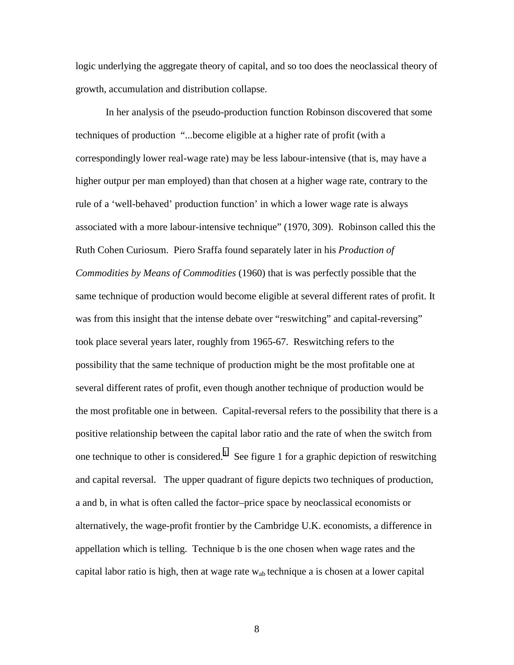logic underlying the aggregate theory of capital, and so too does the neoclassical theory of growth, accumulation and distribution collapse.

In her analysis of the pseudo-production function Robinson discovered that some techniques of production "...become eligible at a higher rate of profit (with a correspondingly lower real-wage rate) may be less labour-intensive (that is, may have a higher outpur per man employed) than that chosen at a higher wage rate, contrary to the rule of a 'well-behaved' production function' in which a lower wage rate is always associated with a more labour-intensive technique" (1970, 309). Robinson called this the Ruth Cohen Curiosum. Piero Sraffa found separately later in his *Production of Commodities by Means of Commodities* (1960) that is was perfectly possible that the same technique of production would become eligible at several different rates of profit. It was from this insight that the intense debate over "reswitching" and capital-reversing" took place several years later, roughly from 1965-67. Reswitching refers to the possibility that the same technique of production might be the most profitable one at several different rates of profit, even though another technique of production would be the most profitable one in between. Capital-reversal refers to the possibility that there is a positive relationship between the capital labor ratio and the rate of when the switch from one technique to other is considered.<sup>3</sup> See figure 1 for a graphic depiction of reswitching and capital reversal. The upper quadrant of figure depicts two techniques of production, a and b, in what is often called the factor–price space by neoclassical economists or alternatively, the wage-profit frontier by the Cambridge U.K. economists, a difference in appellation which is telling. Technique b is the one chosen when wage rates and the capital labor ratio is high, then at wage rate  $w_{ab}$  technique a is chosen at a lower capital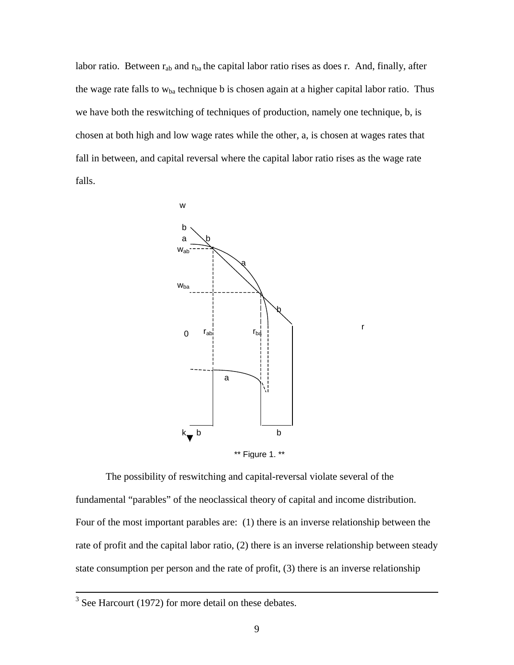labor ratio. Between  $r_{ab}$  and  $r_{ba}$  the capital labor ratio rises as does r. And, finally, after the wage rate falls to  $w_{ba}$  technique b is chosen again at a higher capital labor ratio. Thus we have both the reswitching of techniques of production, namely one technique, b, is chosen at both high and low wage rates while the other, a, is chosen at wages rates that fall in between, and capital reversal where the capital labor ratio rises as the wage rate falls.



r

\*\* Figure 1. \*\*

The possibility of reswitching and capital-reversal violate several of the fundamental "parables" of the neoclassical theory of capital and income distribution. Four of the most important parables are: (1) there is an inverse relationship between the rate of profit and the capital labor ratio, (2) there is an inverse relationship between steady state consumption per person and the rate of profit, (3) there is an inverse relationship

 $3$  See Harcourt (1972) for more detail on these debates.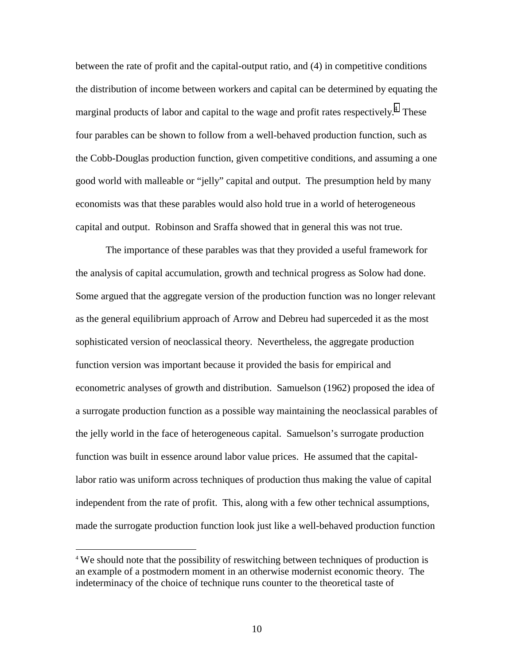between the rate of profit and the capital-output ratio, and (4) in competitive conditions the distribution of income between workers and capital can be determined by equating the marginal products of labor and capital to the wage and profit rates respectively.<sup>4</sup> These four parables can be shown to follow from a well-behaved production function, such as the Cobb-Douglas production function, given competitive conditions, and assuming a one good world with malleable or "jelly" capital and output. The presumption held by many economists was that these parables would also hold true in a world of heterogeneous capital and output. Robinson and Sraffa showed that in general this was not true.

The importance of these parables was that they provided a useful framework for the analysis of capital accumulation, growth and technical progress as Solow had done. Some argued that the aggregate version of the production function was no longer relevant as the general equilibrium approach of Arrow and Debreu had superceded it as the most sophisticated version of neoclassical theory. Nevertheless, the aggregate production function version was important because it provided the basis for empirical and econometric analyses of growth and distribution. Samuelson (1962) proposed the idea of a surrogate production function as a possible way maintaining the neoclassical parables of the jelly world in the face of heterogeneous capital. Samuelson's surrogate production function was built in essence around labor value prices. He assumed that the capitallabor ratio was uniform across techniques of production thus making the value of capital independent from the rate of profit. This, along with a few other technical assumptions, made the surrogate production function look just like a well-behaved production function

<sup>&</sup>lt;sup>4</sup> We should note that the possibility of reswitching between techniques of production is an example of a postmodern moment in an otherwise modernist economic theory. The indeterminacy of the choice of technique runs counter to the theoretical taste of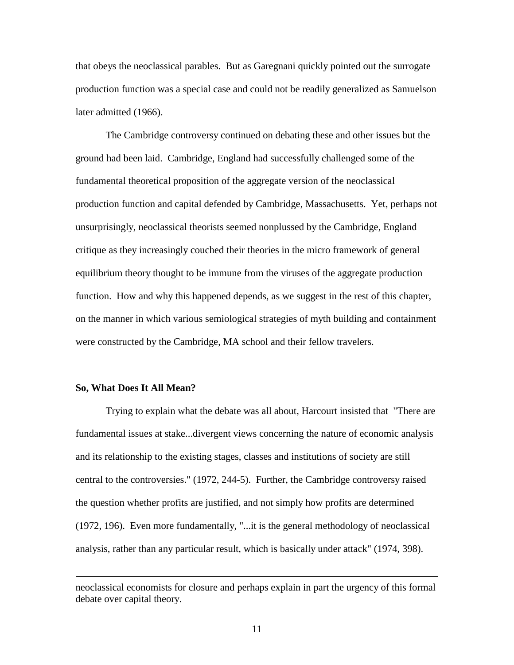that obeys the neoclassical parables. But as Garegnani quickly pointed out the surrogate production function was a special case and could not be readily generalized as Samuelson later admitted (1966).

The Cambridge controversy continued on debating these and other issues but the ground had been laid. Cambridge, England had successfully challenged some of the fundamental theoretical proposition of the aggregate version of the neoclassical production function and capital defended by Cambridge, Massachusetts. Yet, perhaps not unsurprisingly, neoclassical theorists seemed nonplussed by the Cambridge, England critique as they increasingly couched their theories in the micro framework of general equilibrium theory thought to be immune from the viruses of the aggregate production function. How and why this happened depends, as we suggest in the rest of this chapter, on the manner in which various semiological strategies of myth building and containment were constructed by the Cambridge, MA school and their fellow travelers.

### **So, What Does It All Mean?**

 $\overline{a}$ 

Trying to explain what the debate was all about, Harcourt insisted that "There are fundamental issues at stake...divergent views concerning the nature of economic analysis and its relationship to the existing stages, classes and institutions of society are still central to the controversies." (1972, 244-5). Further, the Cambridge controversy raised the question whether profits are justified, and not simply how profits are determined (1972, 196). Even more fundamentally, "...it is the general methodology of neoclassical analysis, rather than any particular result, which is basically under attack" (1974, 398).

neoclassical economists for closure and perhaps explain in part the urgency of this formal debate over capital theory.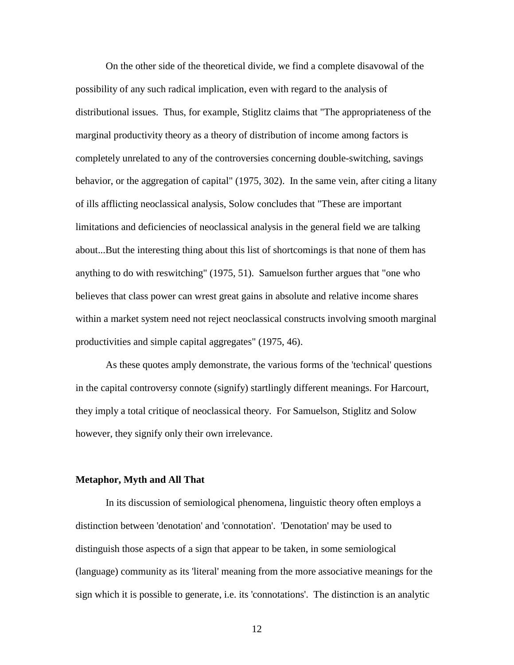On the other side of the theoretical divide, we find a complete disavowal of the possibility of any such radical implication, even with regard to the analysis of distributional issues. Thus, for example, Stiglitz claims that "The appropriateness of the marginal productivity theory as a theory of distribution of income among factors is completely unrelated to any of the controversies concerning double-switching, savings behavior, or the aggregation of capital" (1975, 302). In the same vein, after citing a litany of ills afflicting neoclassical analysis, Solow concludes that "These are important limitations and deficiencies of neoclassical analysis in the general field we are talking about...But the interesting thing about this list of shortcomings is that none of them has anything to do with reswitching" (1975, 51). Samuelson further argues that "one who believes that class power can wrest great gains in absolute and relative income shares within a market system need not reject neoclassical constructs involving smooth marginal productivities and simple capital aggregates" (1975, 46).

As these quotes amply demonstrate, the various forms of the 'technical' questions in the capital controversy connote (signify) startlingly different meanings. For Harcourt, they imply a total critique of neoclassical theory. For Samuelson, Stiglitz and Solow however, they signify only their own irrelevance.

### **Metaphor, Myth and All That**

In its discussion of semiological phenomena, linguistic theory often employs a distinction between 'denotation' and 'connotation'. 'Denotation' may be used to distinguish those aspects of a sign that appear to be taken, in some semiological (language) community as its 'literal' meaning from the more associative meanings for the sign which it is possible to generate, i.e. its 'connotations'. The distinction is an analytic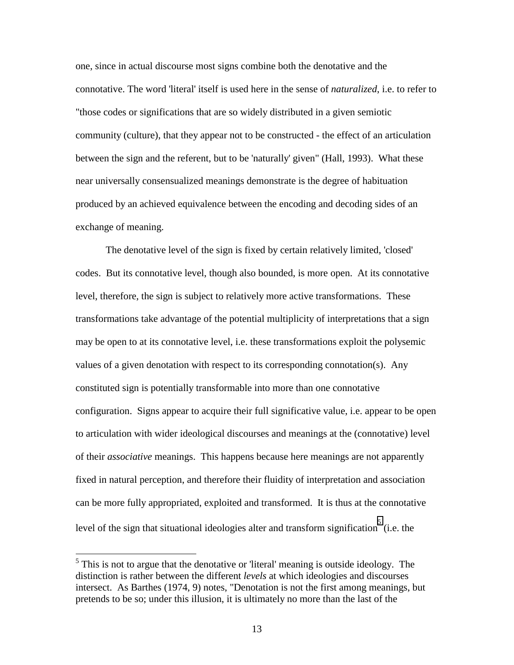one, since in actual discourse most signs combine both the denotative and the connotative. The word 'literal' itself is used here in the sense of *naturalized*, i.e. to refer to "those codes or significations that are so widely distributed in a given semiotic community (culture), that they appear not to be constructed - the effect of an articulation between the sign and the referent, but to be 'naturally' given" (Hall, 1993). What these near universally consensualized meanings demonstrate is the degree of habituation produced by an achieved equivalence between the encoding and decoding sides of an exchange of meaning.

The denotative level of the sign is fixed by certain relatively limited, 'closed' codes. But its connotative level, though also bounded, is more open. At its connotative level, therefore, the sign is subject to relatively more active transformations. These transformations take advantage of the potential multiplicity of interpretations that a sign may be open to at its connotative level, i.e. these transformations exploit the polysemic values of a given denotation with respect to its corresponding connotation(s). Any constituted sign is potentially transformable into more than one connotative configuration. Signs appear to acquire their full significative value, i.e. appear to be open to articulation with wider ideological discourses and meanings at the (connotative) level of their *associative* meanings. This happens because here meanings are not apparently fixed in natural perception, and therefore their fluidity of interpretation and association can be more fully appropriated, exploited and transformed. It is thus at the connotative level of the sign that situational ideologies alter and transform signification  $\int_0^5$  (i.e. the

 $<sup>5</sup>$  This is not to argue that the denotative or 'literal' meaning is outside ideology. The</sup> distinction is rather between the different *levels* at which ideologies and discourses intersect. As Barthes (1974, 9) notes, "Denotation is not the first among meanings, but pretends to be so; under this illusion, it is ultimately no more than the last of the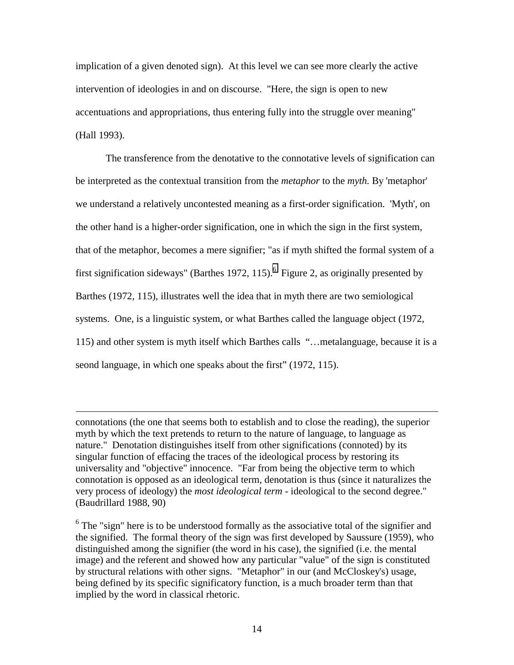implication of a given denoted sign). At this level we can see more clearly the active intervention of ideologies in and on discourse. "Here, the sign is open to new accentuations and appropriations, thus entering fully into the struggle over meaning" (Hall 1993).

The transference from the denotative to the connotative levels of signification can be interpreted as the contextual transition from the *metaphor* to the *myth.* By 'metaphor' we understand a relatively uncontested meaning as a first-order signification. 'Myth', on the other hand is a higher-order signification, one in which the sign in the first system, that of the metaphor, becomes a mere signifier; "as if myth shifted the formal system of a first signification sideways" (Barthes 1972, 115).<sup>6</sup> Figure 2, as originally presented by Barthes (1972, 115), illustrates well the idea that in myth there are two semiological systems. One, is a linguistic system, or what Barthes called the language object (1972, 115) and other system is myth itself which Barthes calls "…metalanguage, because it is a seond language, in which one speaks about the first" (1972, 115).

connotations (the one that seems both to establish and to close the reading), the superior myth by which the text pretends to return to the nature of language, to language as nature." Denotation distinguishes itself from other significations (connoted) by its singular function of effacing the traces of the ideological process by restoring its universality and "objective" innocence. "Far from being the objective term to which connotation is opposed as an ideological term, denotation is thus (since it naturalizes the very process of ideology) the *most ideological term -* ideological to the second degree." (Baudrillard 1988, 90)

 $\overline{a}$ 

 $6$  The "sign" here is to be understood formally as the associative total of the signifier and the signified. The formal theory of the sign was first developed by Saussure (1959), who distinguished among the signifier (the word in his case), the signified (i.e. the mental image) and the referent and showed how any particular "value" of the sign is constituted by structural relations with other signs. "Metaphor" in our (and McCloskey's) usage, being defined by its specific significatory function, is a much broader term than that implied by the word in classical rhetoric.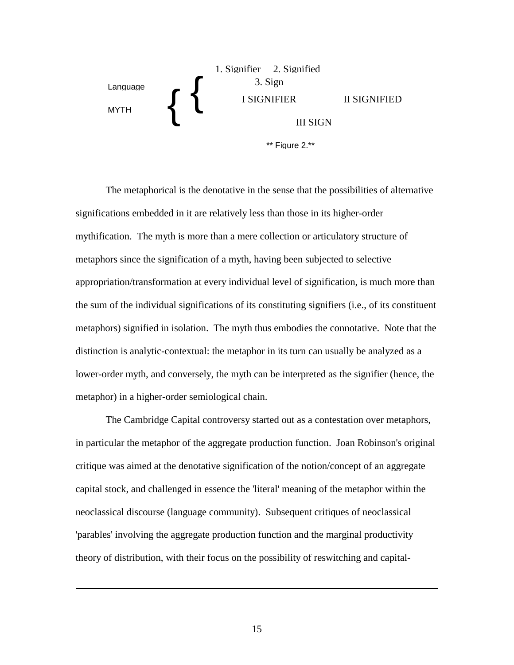

The metaphorical is the denotative in the sense that the possibilities of alternative significations embedded in it are relatively less than those in its higher-order mythification. The myth is more than a mere collection or articulatory structure of metaphors since the signification of a myth, having been subjected to selective appropriation/transformation at every individual level of signification, is much more than the sum of the individual significations of its constituting signifiers (i.e., of its constituent metaphors) signified in isolation. The myth thus embodies the connotative. Note that the distinction is analytic-contextual: the metaphor in its turn can usually be analyzed as a lower-order myth, and conversely, the myth can be interpreted as the signifier (hence, the metaphor) in a higher-order semiological chain.

The Cambridge Capital controversy started out as a contestation over metaphors, in particular the metaphor of the aggregate production function. Joan Robinson's original critique was aimed at the denotative signification of the notion/concept of an aggregate capital stock, and challenged in essence the 'literal' meaning of the metaphor within the neoclassical discourse (language community). Subsequent critiques of neoclassical 'parables' involving the aggregate production function and the marginal productivity theory of distribution, with their focus on the possibility of reswitching and capital-

15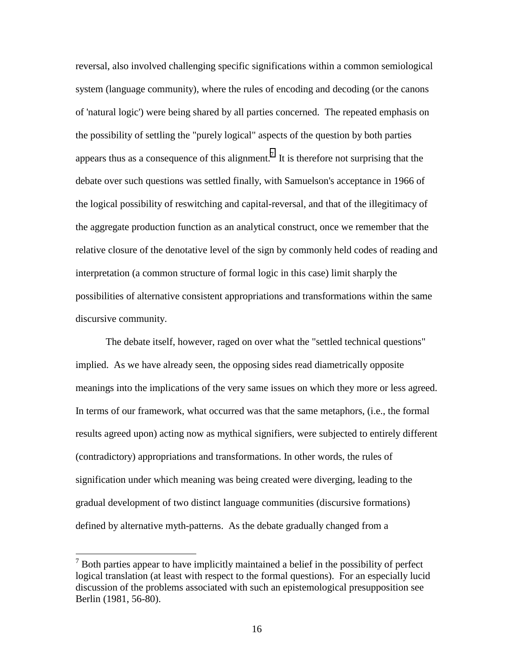reversal, also involved challenging specific significations within a common semiological system (language community), where the rules of encoding and decoding (or the canons of 'natural logic') were being shared by all parties concerned. The repeated emphasis on the possibility of settling the "purely logical" aspects of the question by both parties appears thus as a consequence of this alignment.<sup>7</sup> It is therefore not surprising that the debate over such questions was settled finally, with Samuelson's acceptance in 1966 of the logical possibility of reswitching and capital-reversal, and that of the illegitimacy of the aggregate production function as an analytical construct, once we remember that the relative closure of the denotative level of the sign by commonly held codes of reading and interpretation (a common structure of formal logic in this case) limit sharply the possibilities of alternative consistent appropriations and transformations within the same discursive community.

The debate itself, however, raged on over what the "settled technical questions" implied. As we have already seen, the opposing sides read diametrically opposite meanings into the implications of the very same issues on which they more or less agreed. In terms of our framework, what occurred was that the same metaphors, (i.e., the formal results agreed upon) acting now as mythical signifiers, were subjected to entirely different (contradictory) appropriations and transformations. In other words, the rules of signification under which meaning was being created were diverging, leading to the gradual development of two distinct language communities (discursive formations) defined by alternative myth-patterns. As the debate gradually changed from a

 $<sup>7</sup>$  Both parties appear to have implicitly maintained a belief in the possibility of perfect</sup> logical translation (at least with respect to the formal questions). For an especially lucid discussion of the problems associated with such an epistemological presupposition see Berlin (1981, 56-80).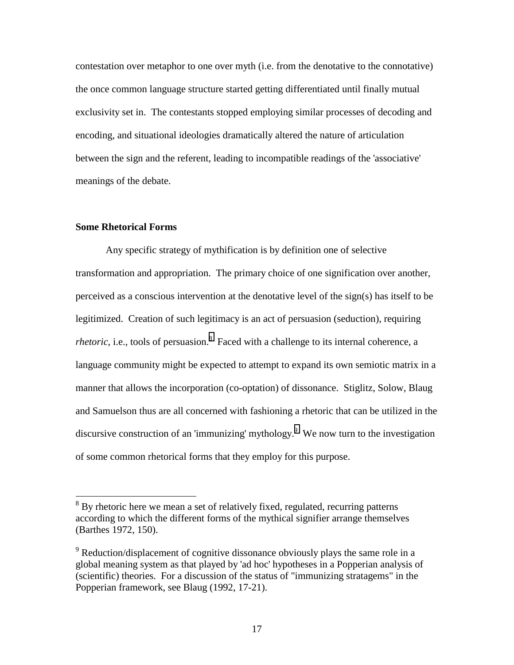contestation over metaphor to one over myth (i.e. from the denotative to the connotative) the once common language structure started getting differentiated until finally mutual exclusivity set in. The contestants stopped employing similar processes of decoding and encoding, and situational ideologies dramatically altered the nature of articulation between the sign and the referent, leading to incompatible readings of the 'associative' meanings of the debate.

# **Some Rhetorical Forms**

 $\overline{a}$ 

Any specific strategy of mythification is by definition one of selective transformation and appropriation. The primary choice of one signification over another, perceived as a conscious intervention at the denotative level of the sign(s) has itself to be legitimized. Creation of such legitimacy is an act of persuasion (seduction), requiring *rhetoric*, i.e., tools of persuasion.<sup>8</sup> Faced with a challenge to its internal coherence, a language community might be expected to attempt to expand its own semiotic matrix in a manner that allows the incorporation (co-optation) of dissonance. Stiglitz, Solow, Blaug and Samuelson thus are all concerned with fashioning a rhetoric that can be utilized in the discursive construction of an 'immunizing' mythology.<sup>9</sup> We now turn to the investigation of some common rhetorical forms that they employ for this purpose.

<sup>&</sup>lt;sup>8</sup> By rhetoric here we mean a set of relatively fixed, regulated, recurring patterns according to which the different forms of the mythical signifier arrange themselves (Barthes 1972, 150).

<sup>&</sup>lt;sup>9</sup> Reduction/displacement of cognitive dissonance obviously plays the same role in a global meaning system as that played by 'ad hoc' hypotheses in a Popperian analysis of (scientific) theories. For a discussion of the status of "immunizing stratagems" in the Popperian framework, see Blaug (1992, 17-21).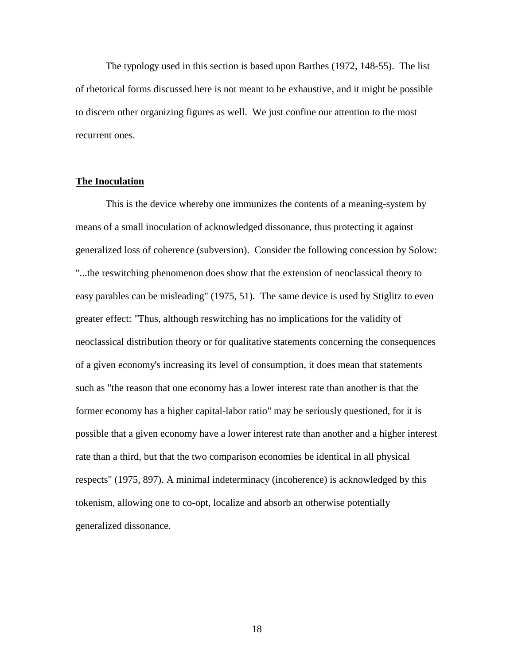The typology used in this section is based upon Barthes (1972, 148-55). The list of rhetorical forms discussed here is not meant to be exhaustive, and it might be possible to discern other organizing figures as well. We just confine our attention to the most recurrent ones.

#### **The Inoculation**

This is the device whereby one immunizes the contents of a meaning-system by means of a small inoculation of acknowledged dissonance, thus protecting it against generalized loss of coherence (subversion). Consider the following concession by Solow: "...the reswitching phenomenon does show that the extension of neoclassical theory to easy parables can be misleading" (1975, 51). The same device is used by Stiglitz to even greater effect: "Thus, although reswitching has no implications for the validity of neoclassical distribution theory or for qualitative statements concerning the consequences of a given economy's increasing its level of consumption, it does mean that statements such as "the reason that one economy has a lower interest rate than another is that the former economy has a higher capital-labor ratio" may be seriously questioned, for it is possible that a given economy have a lower interest rate than another and a higher interest rate than a third, but that the two comparison economies be identical in all physical respects" (1975, 897). A minimal indeterminacy (incoherence) is acknowledged by this tokenism, allowing one to co-opt, localize and absorb an otherwise potentially generalized dissonance.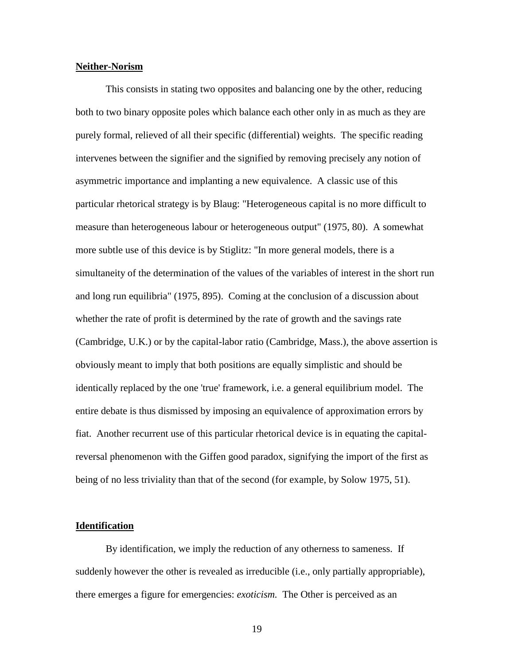### **Neither-Norism**

This consists in stating two opposites and balancing one by the other, reducing both to two binary opposite poles which balance each other only in as much as they are purely formal, relieved of all their specific (differential) weights. The specific reading intervenes between the signifier and the signified by removing precisely any notion of asymmetric importance and implanting a new equivalence. A classic use of this particular rhetorical strategy is by Blaug: "Heterogeneous capital is no more difficult to measure than heterogeneous labour or heterogeneous output" (1975, 80). A somewhat more subtle use of this device is by Stiglitz: "In more general models, there is a simultaneity of the determination of the values of the variables of interest in the short run and long run equilibria" (1975, 895). Coming at the conclusion of a discussion about whether the rate of profit is determined by the rate of growth and the savings rate (Cambridge, U.K.) or by the capital-labor ratio (Cambridge, Mass.), the above assertion is obviously meant to imply that both positions are equally simplistic and should be identically replaced by the one 'true' framework, i.e. a general equilibrium model. The entire debate is thus dismissed by imposing an equivalence of approximation errors by fiat. Another recurrent use of this particular rhetorical device is in equating the capitalreversal phenomenon with the Giffen good paradox, signifying the import of the first as being of no less triviality than that of the second (for example, by Solow 1975, 51).

#### **Identification**

By identification, we imply the reduction of any otherness to sameness. If suddenly however the other is revealed as irreducible (i.e., only partially appropriable), there emerges a figure for emergencies: *exoticism.* The Other is perceived as an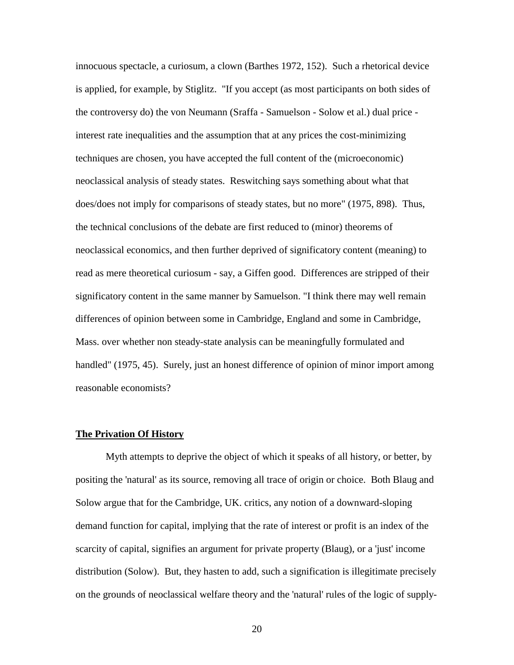innocuous spectacle, a curiosum, a clown (Barthes 1972, 152). Such a rhetorical device is applied, for example, by Stiglitz. "If you accept (as most participants on both sides of the controversy do) the von Neumann (Sraffa - Samuelson - Solow et al.) dual price interest rate inequalities and the assumption that at any prices the cost-minimizing techniques are chosen, you have accepted the full content of the (microeconomic) neoclassical analysis of steady states. Reswitching says something about what that does/does not imply for comparisons of steady states, but no more" (1975, 898). Thus, the technical conclusions of the debate are first reduced to (minor) theorems of neoclassical economics, and then further deprived of significatory content (meaning) to read as mere theoretical curiosum - say, a Giffen good. Differences are stripped of their significatory content in the same manner by Samuelson. "I think there may well remain differences of opinion between some in Cambridge, England and some in Cambridge, Mass. over whether non steady-state analysis can be meaningfully formulated and handled" (1975, 45). Surely, just an honest difference of opinion of minor import among reasonable economists?

# **The Privation Of History**

Myth attempts to deprive the object of which it speaks of all history, or better, by positing the 'natural' as its source, removing all trace of origin or choice. Both Blaug and Solow argue that for the Cambridge, UK. critics, any notion of a downward-sloping demand function for capital, implying that the rate of interest or profit is an index of the scarcity of capital, signifies an argument for private property (Blaug), or a 'just' income distribution (Solow). But, they hasten to add, such a signification is illegitimate precisely on the grounds of neoclassical welfare theory and the 'natural' rules of the logic of supply-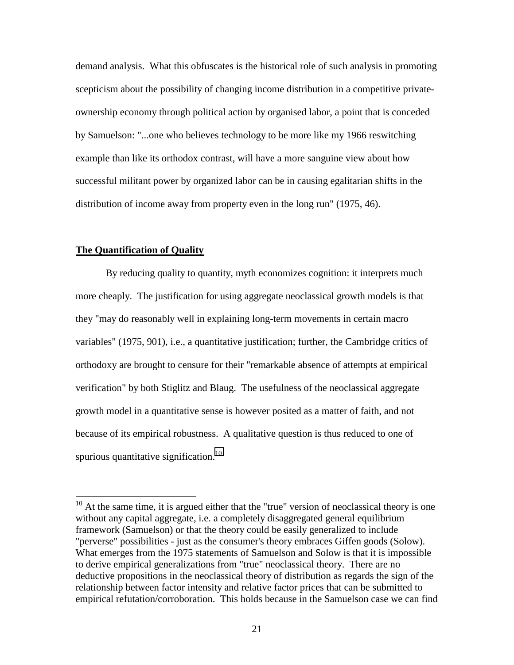demand analysis. What this obfuscates is the historical role of such analysis in promoting scepticism about the possibility of changing income distribution in a competitive privateownership economy through political action by organised labor, a point that is conceded by Samuelson: "...one who believes technology to be more like my 1966 reswitching example than like its orthodox contrast, will have a more sanguine view about how successful militant power by organized labor can be in causing egalitarian shifts in the distribution of income away from property even in the long run" (1975, 46).

### **The Quantification of Quality**

 $\overline{a}$ 

By reducing quality to quantity, myth economizes cognition: it interprets much more cheaply. The justification for using aggregate neoclassical growth models is that they "may do reasonably well in explaining long-term movements in certain macro variables" (1975, 901), i.e., a quantitative justification; further, the Cambridge critics of orthodoxy are brought to censure for their "remarkable absence of attempts at empirical verification" by both Stiglitz and Blaug. The usefulness of the neoclassical aggregate growth model in a quantitative sense is however posited as a matter of faith, and not because of its empirical robustness. A qualitative question is thus reduced to one of spurious quantitative signification.<sup>10</sup>

 $10<sup>10</sup>$  At the same time, it is argued either that the "true" version of neoclassical theory is one without any capital aggregate, i.e. a completely disaggregated general equilibrium framework (Samuelson) or that the theory could be easily generalized to include "perverse" possibilities - just as the consumer's theory embraces Giffen goods (Solow). What emerges from the 1975 statements of Samuelson and Solow is that it is impossible to derive empirical generalizations from "true" neoclassical theory. There are no deductive propositions in the neoclassical theory of distribution as regards the sign of the relationship between factor intensity and relative factor prices that can be submitted to empirical refutation/corroboration. This holds because in the Samuelson case we can find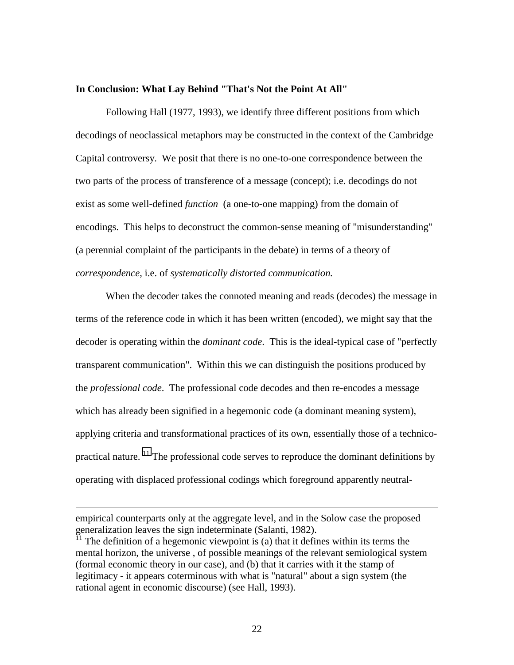#### **In Conclusion: What Lay Behind "That's Not the Point At All"**

Following Hall (1977, 1993), we identify three different positions from which decodings of neoclassical metaphors may be constructed in the context of the Cambridge Capital controversy. We posit that there is no one-to-one correspondence between the two parts of the process of transference of a message (concept); i.e. decodings do not exist as some well-defined *function* (a one-to-one mapping) from the domain of encodings. This helps to deconstruct the common-sense meaning of "misunderstanding" (a perennial complaint of the participants in the debate) in terms of a theory of *correspondence*, i.e. of *systematically distorted communication.*

When the decoder takes the connoted meaning and reads (decodes) the message in terms of the reference code in which it has been written (encoded), we might say that the decoder is operating within the *dominant code*. This is the ideal-typical case of "perfectly transparent communication". Within this we can distinguish the positions produced by the *professional code*. The professional code decodes and then re-encodes a message which has already been signified in a hegemonic code (a dominant meaning system), applying criteria and transformational practices of its own, essentially those of a technicopractical nature. 11 The professional code serves to reproduce the dominant definitions by operating with displaced professional codings which foreground apparently neutral-

empirical counterparts only at the aggregate level, and in the Solow case the proposed generalization leaves the sign indeterminate (Salanti, 1982).

 $11$  The definition of a hegemonic viewpoint is (a) that it defines within its terms the mental horizon, the universe , of possible meanings of the relevant semiological system (formal economic theory in our case), and (b) that it carries with it the stamp of legitimacy - it appears coterminous with what is "natural" about a sign system (the rational agent in economic discourse) (see Hall, 1993).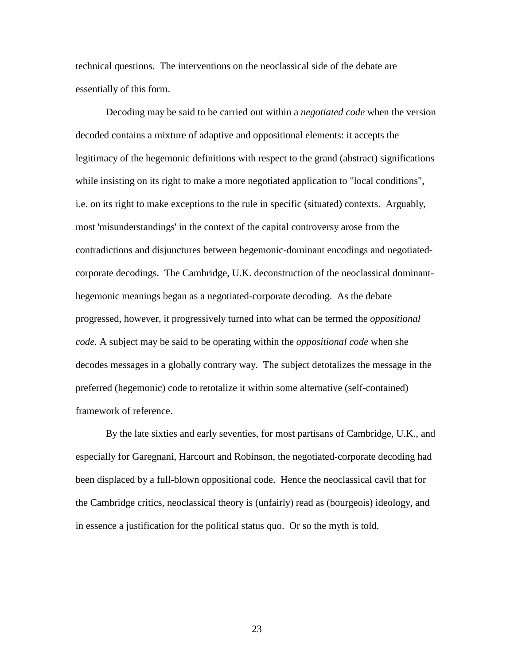technical questions. The interventions on the neoclassical side of the debate are essentially of this form.

Decoding may be said to be carried out within a *negotiated code* when the version decoded contains a mixture of adaptive and oppositional elements: it accepts the legitimacy of the hegemonic definitions with respect to the grand (abstract) significations while insisting on its right to make a more negotiated application to "local conditions", i.e. on its right to make exceptions to the rule in specific (situated) contexts. Arguably, most 'misunderstandings' in the context of the capital controversy arose from the contradictions and disjunctures between hegemonic-dominant encodings and negotiatedcorporate decodings. The Cambridge, U.K. deconstruction of the neoclassical dominanthegemonic meanings began as a negotiated-corporate decoding. As the debate progressed, however, it progressively turned into what can be termed the *oppositional code.* A subject may be said to be operating within the *oppositional code* when she decodes messages in a globally contrary way. The subject detotalizes the message in the preferred (hegemonic) code to retotalize it within some alternative (self-contained) framework of reference.

By the late sixties and early seventies, for most partisans of Cambridge, U.K., and especially for Garegnani, Harcourt and Robinson, the negotiated-corporate decoding had been displaced by a full-blown oppositional code. Hence the neoclassical cavil that for the Cambridge critics, neoclassical theory is (unfairly) read as (bourgeois) ideology, and in essence a justification for the political status quo. Or so the myth is told.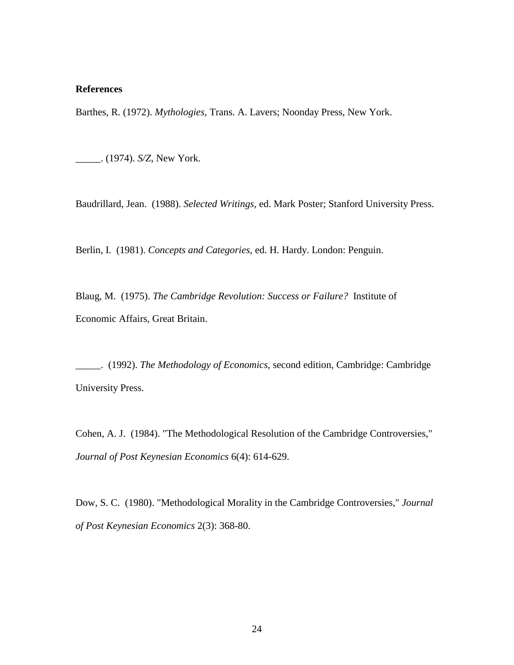# **References**

Barthes, R. (1972). *Mythologies*, Trans. A. Lavers; Noonday Press, New York.

\_\_\_\_\_. (1974). *S/Z*, New York.

Baudrillard, Jean. (1988). *Selected Writings*, ed. Mark Poster; Stanford University Press.

Berlin, I. (1981). *Concepts and Categories*, ed. H. Hardy. London: Penguin.

Blaug, M. (1975). *The Cambridge Revolution: Success or Failure?* Institute of Economic Affairs, Great Britain.

\_\_\_\_\_. (1992). *The Methodology of Economics*, second edition, Cambridge: Cambridge University Press.

Cohen, A. J. (1984). "The Methodological Resolution of the Cambridge Controversies," *Journal of Post Keynesian Economics* 6(4): 614-629.

Dow, S. C. (1980). "Methodological Morality in the Cambridge Controversies," *Journal of Post Keynesian Economics* 2(3): 368-80.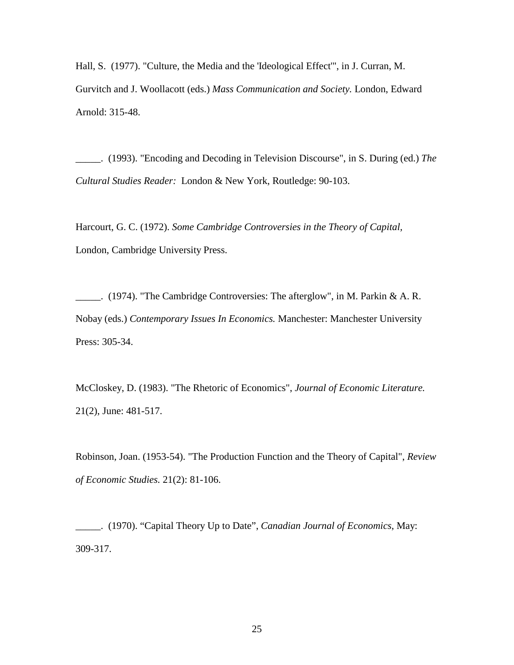Hall, S. (1977). "Culture, the Media and the 'Ideological Effect'", in J. Curran, M. Gurvitch and J. Woollacott (eds.) *Mass Communication and Society.* London, Edward Arnold: 315-48.

\_\_\_\_\_. (1993). "Encoding and Decoding in Television Discourse", in S. During (ed.) *The Cultural Studies Reader:* London & New York, Routledge: 90-103.

Harcourt, G. C. (1972). *Some Cambridge Controversies in the Theory of Capital,* London, Cambridge University Press.

\_\_\_\_\_. (1974). "The Cambridge Controversies: The afterglow", in M. Parkin & A. R. Nobay (eds.) *Contemporary Issues In Economics.* Manchester: Manchester University Press: 305-34.

McCloskey, D. (1983). "The Rhetoric of Economics", *Journal of Economic Literature.* 21(2), June: 481-517.

Robinson, Joan. (1953-54). "The Production Function and the Theory of Capital", *Review of Economic Studies.* 21(2): 81-106.

\_\_\_\_\_. (1970). "Capital Theory Up to Date", *Canadian Journal of Economics*, May: 309-317.